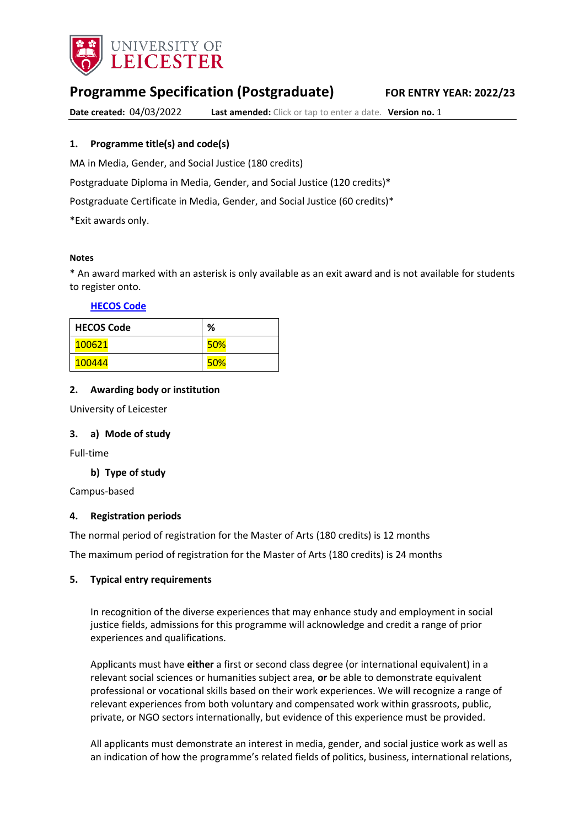

# **Programme Specification (Postgraduate) FOR ENTRY YEAR: 2022/23**

**Date created:** 04/03/2022 **Last amended:** Click or tap to enter a date. **Version no.** 1

## **1. Programme title(s) and code(s)**

MA in Media, Gender, and Social Justice (180 credits)

Postgraduate Diploma in Media, Gender, and Social Justice (120 credits)\*

Postgraduate Certificate in Media, Gender, and Social Justice (60 credits)\*

\*Exit awards only.

#### **Notes**

\* An award marked with an asterisk is only available as an exit award and is not available for students to register onto.

**[HECOS Code](https://www.hesa.ac.uk/innovation/hecos)**

| <b>HECOS Code</b> | %          |
|-------------------|------------|
| 100621            | <b>50%</b> |
| 100444            | 50%        |

## **2. Awarding body or institution**

University of Leicester

## **3. a) Mode of study**

Full-time

## **b) Type of study**

Campus-based

## **4. Registration periods**

The normal period of registration for the Master of Arts (180 credits) is 12 months

The maximum period of registration for the Master of Arts (180 credits) is 24 months

## **5. Typical entry requirements**

In recognition of the diverse experiences that may enhance study and employment in social justice fields, admissions for this programme will acknowledge and credit a range of prior experiences and qualifications.

Applicants must have **either** a first or second class degree (or international equivalent) in a relevant social sciences or humanities subject area, **or** be able to demonstrate equivalent professional or vocational skills based on their work experiences. We will recognize a range of relevant experiences from both voluntary and compensated work within grassroots, public, private, or NGO sectors internationally, but evidence of this experience must be provided.

All applicants must demonstrate an interest in media, gender, and social justice work as well as an indication of how the programme's related fields of politics, business, international relations,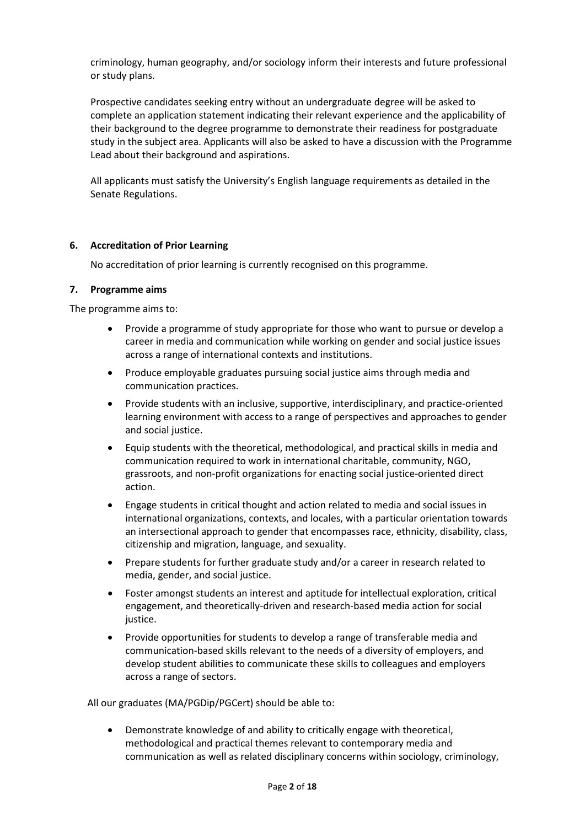criminology, human geography, and/or sociology inform their interests and future professional or study plans.

Prospective candidates seeking entry without an undergraduate degree will be asked to complete an application statement indicating their relevant experience and the applicability of their background to the degree programme to demonstrate their readiness for postgraduate study in the subject area. Applicants will also be asked to have a discussion with the Programme Lead about their background and aspirations.

All applicants must satisfy the University's English language requirements as detailed in the Senate Regulations.

## **6. Accreditation of Prior Learning**

No accreditation of prior learning is currently recognised on this programme.

## **7. Programme aims**

The programme aims to:

- Provide a programme of study appropriate for those who want to pursue or develop a career in media and communication while working on gender and social justice issues across a range of international contexts and institutions.
- Produce employable graduates pursuing social justice aims through media and communication practices.
- Provide students with an inclusive, supportive, interdisciplinary, and practice-oriented learning environment with access to a range of perspectives and approaches to gender and social justice.
- Equip students with the theoretical, methodological, and practical skills in media and communication required to work in international charitable, community, NGO, grassroots, and non-profit organizations for enacting social justice-oriented direct action.
- Engage students in critical thought and action related to media and social issues in international organizations, contexts, and locales, with a particular orientation towards an intersectional approach to gender that encompasses race, ethnicity, disability, class, citizenship and migration, language, and sexuality.
- Prepare students for further graduate study and/or a career in research related to media, gender, and social justice.
- Foster amongst students an interest and aptitude for intellectual exploration, critical engagement, and theoretically-driven and research-based media action for social justice.
- Provide opportunities for students to develop a range of transferable media and communication-based skills relevant to the needs of a diversity of employers, and develop student abilities to communicate these skills to colleagues and employers across a range of sectors.

All our graduates (MA/PGDip/PGCert) should be able to:

• Demonstrate knowledge of and ability to critically engage with theoretical, methodological and practical themes relevant to contemporary media and communication as well as related disciplinary concerns within sociology, criminology,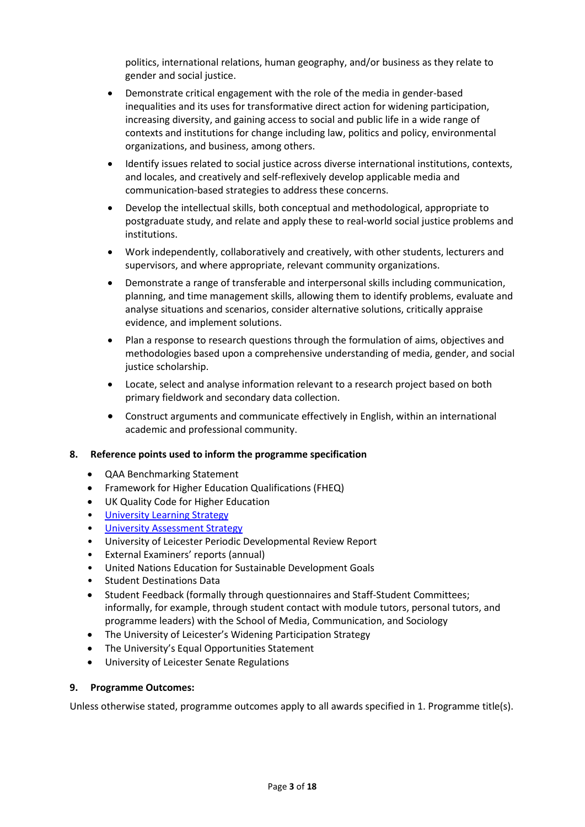politics, international relations, human geography, and/or business as they relate to gender and social justice.

- Demonstrate critical engagement with the role of the media in gender-based inequalities and its uses for transformative direct action for widening participation, increasing diversity, and gaining access to social and public life in a wide range of contexts and institutions for change including law, politics and policy, environmental organizations, and business, among others.
- Identify issues related to social justice across diverse international institutions, contexts, and locales, and creatively and self-reflexively develop applicable media and communication-based strategies to address these concerns.
- Develop the intellectual skills, both conceptual and methodological, appropriate to postgraduate study, and relate and apply these to real-world social justice problems and institutions.
- Work independently, collaboratively and creatively, with other students, lecturers and supervisors, and where appropriate, relevant community organizations.
- Demonstrate a range of transferable and interpersonal skills including communication, planning, and time management skills, allowing them to identify problems, evaluate and analyse situations and scenarios, consider alternative solutions, critically appraise evidence, and implement solutions.
- Plan a response to research questions through the formulation of aims, objectives and methodologies based upon a comprehensive understanding of media, gender, and social justice scholarship.
- Locate, select and analyse information relevant to a research project based on both primary fieldwork and secondary data collection.
- Construct arguments and communicate effectively in English, within an international academic and professional community.

## **8. Reference points used to inform the programme specification**

- QAA Benchmarking Statement
- Framework for Higher Education Qualifications (FHEQ)
- UK Quality Code for Higher Education
- [University Learning](https://www2.le.ac.uk/offices/sas2/quality/learnteach) Strategy
- [University Assessment Strategy](https://www2.le.ac.uk/offices/sas2/quality/learnteach)
- University of Leicester Periodic Developmental Review Report
- External Examiners' reports (annual)
- United Nations Education for Sustainable Development Goals
- Student Destinations Data
- Student Feedback (formally through questionnaires and Staff-Student Committees; informally, for example, through student contact with module tutors, personal tutors, and programme leaders) with the School of Media, Communication, and Sociology
- The University of Leicester's Widening Participation Strategy
- The University's Equal Opportunities Statement
- University of Leicester Senate Regulations

## **9. Programme Outcomes:**

Unless otherwise stated, programme outcomes apply to all awards specified in 1. Programme title(s).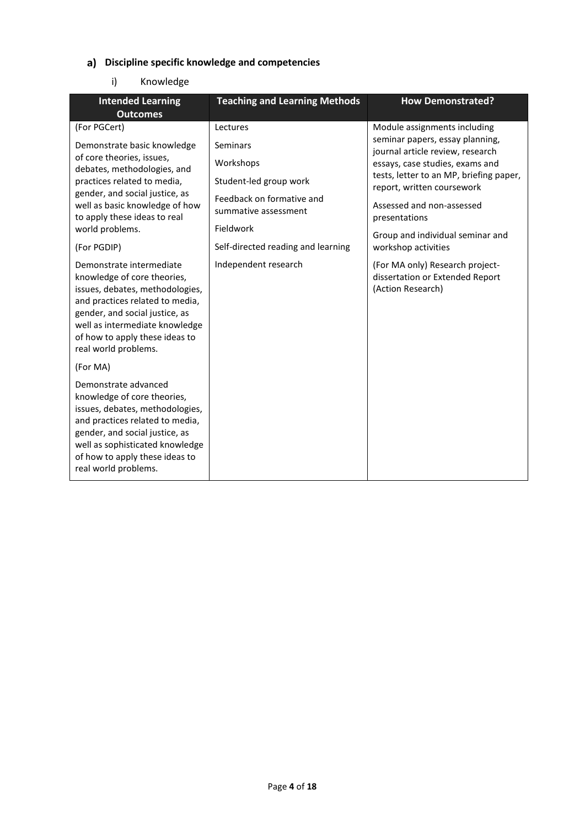# **Discipline specific knowledge and competencies**

# i) Knowledge

| <b>Intended Learning</b><br><b>Outcomes</b>                                                                                                                                                                                                                                                                                                                                                                                                                                                                                                 | <b>Teaching and Learning Methods</b>                                                                                                                                                        | <b>How Demonstrated?</b>                                                                                                                                                                                                                                                                                                                                                                                            |
|---------------------------------------------------------------------------------------------------------------------------------------------------------------------------------------------------------------------------------------------------------------------------------------------------------------------------------------------------------------------------------------------------------------------------------------------------------------------------------------------------------------------------------------------|---------------------------------------------------------------------------------------------------------------------------------------------------------------------------------------------|---------------------------------------------------------------------------------------------------------------------------------------------------------------------------------------------------------------------------------------------------------------------------------------------------------------------------------------------------------------------------------------------------------------------|
| (For PGCert)<br>Demonstrate basic knowledge<br>of core theories, issues,<br>debates, methodologies, and<br>practices related to media,<br>gender, and social justice, as<br>well as basic knowledge of how<br>to apply these ideas to real<br>world problems.<br>(For PGDIP)<br>Demonstrate intermediate<br>knowledge of core theories,<br>issues, debates, methodologies,<br>and practices related to media,<br>gender, and social justice, as<br>well as intermediate knowledge<br>of how to apply these ideas to<br>real world problems. | Lectures<br>Seminars<br>Workshops<br>Student-led group work<br>Feedback on formative and<br>summative assessment<br>Fieldwork<br>Self-directed reading and learning<br>Independent research | Module assignments including<br>seminar papers, essay planning,<br>journal article review, research<br>essays, case studies, exams and<br>tests, letter to an MP, briefing paper,<br>report, written coursework<br>Assessed and non-assessed<br>presentations<br>Group and individual seminar and<br>workshop activities<br>(For MA only) Research project-<br>dissertation or Extended Report<br>(Action Research) |
| (For MA)<br>Demonstrate advanced<br>knowledge of core theories,<br>issues, debates, methodologies,<br>and practices related to media,<br>gender, and social justice, as<br>well as sophisticated knowledge<br>of how to apply these ideas to<br>real world problems.                                                                                                                                                                                                                                                                        |                                                                                                                                                                                             |                                                                                                                                                                                                                                                                                                                                                                                                                     |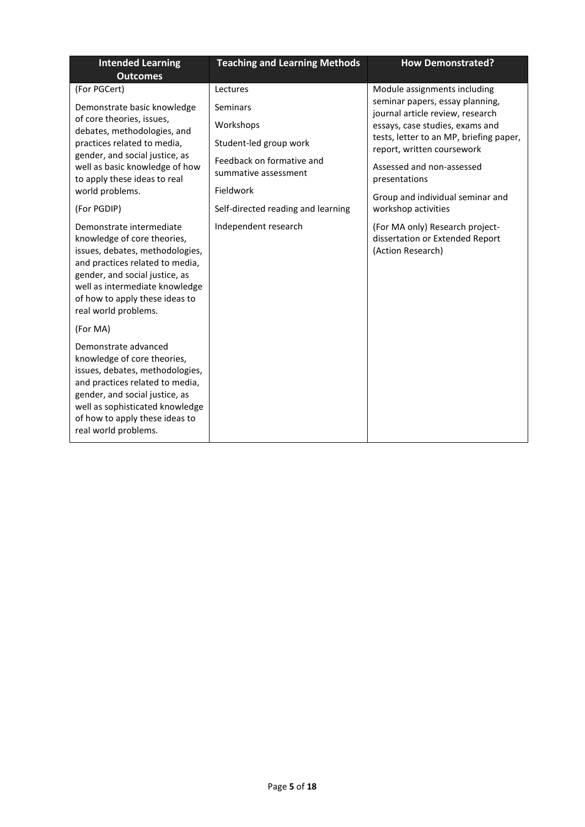| <b>Intended Learning</b><br><b>Outcomes</b>                                                                                                                                                                                                                 | <b>Teaching and Learning Methods</b>                           | <b>How Demonstrated?</b>                                                                                                                                                        |
|-------------------------------------------------------------------------------------------------------------------------------------------------------------------------------------------------------------------------------------------------------------|----------------------------------------------------------------|---------------------------------------------------------------------------------------------------------------------------------------------------------------------------------|
| (For PGCert)                                                                                                                                                                                                                                                | Lectures                                                       | Module assignments including                                                                                                                                                    |
| Demonstrate basic knowledge<br>of core theories, issues,<br>debates, methodologies, and<br>practices related to media,                                                                                                                                      | Seminars<br>Workshops<br>Student-led group work                | seminar papers, essay planning,<br>journal article review, research<br>essays, case studies, exams and<br>tests, letter to an MP, briefing paper,<br>report, written coursework |
| gender, and social justice, as<br>well as basic knowledge of how<br>to apply these ideas to real<br>world problems.                                                                                                                                         | Feedback on formative and<br>summative assessment<br>Fieldwork | Assessed and non-assessed<br>presentations<br>Group and individual seminar and                                                                                                  |
| (For PGDIP)                                                                                                                                                                                                                                                 | Self-directed reading and learning                             | workshop activities                                                                                                                                                             |
| Demonstrate intermediate<br>knowledge of core theories,<br>issues, debates, methodologies,<br>and practices related to media,<br>gender, and social justice, as<br>well as intermediate knowledge<br>of how to apply these ideas to<br>real world problems. | Independent research                                           | (For MA only) Research project-<br>dissertation or Extended Report<br>(Action Research)                                                                                         |
| (For MA)                                                                                                                                                                                                                                                    |                                                                |                                                                                                                                                                                 |
| Demonstrate advanced<br>knowledge of core theories,<br>issues, debates, methodologies,<br>and practices related to media,<br>gender, and social justice, as<br>well as sophisticated knowledge<br>of how to apply these ideas to<br>real world problems.    |                                                                |                                                                                                                                                                                 |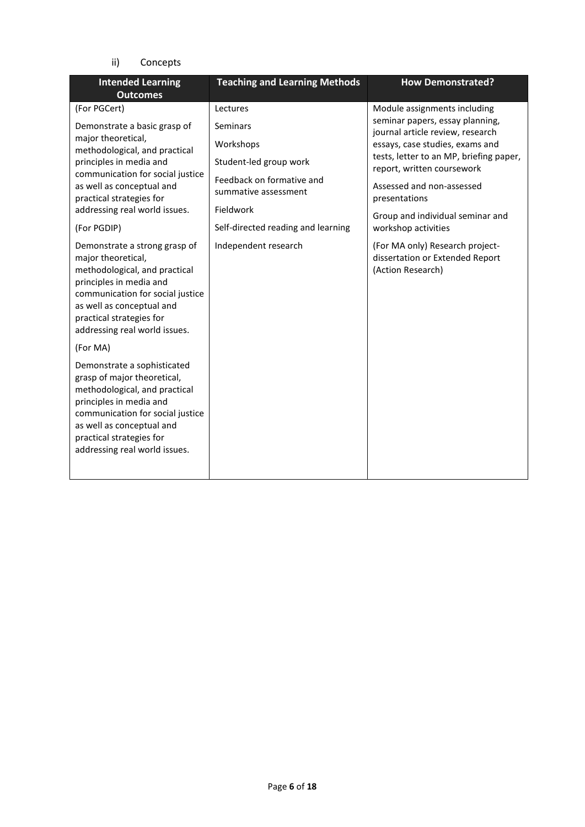ii) Concepts

| <b>Intended Learning</b><br><b>Outcomes</b>                                                                                                                                                                                                          | <b>Teaching and Learning Methods</b>              | <b>How Demonstrated?</b>                                                                |
|------------------------------------------------------------------------------------------------------------------------------------------------------------------------------------------------------------------------------------------------------|---------------------------------------------------|-----------------------------------------------------------------------------------------|
| (For PGCert)                                                                                                                                                                                                                                         | Lectures                                          | Module assignments including                                                            |
| Demonstrate a basic grasp of                                                                                                                                                                                                                         | <b>Seminars</b>                                   | seminar papers, essay planning,<br>journal article review, research                     |
| major theoretical,<br>methodological, and practical                                                                                                                                                                                                  | Workshops                                         | essays, case studies, exams and                                                         |
| principles in media and                                                                                                                                                                                                                              | Student-led group work                            | tests, letter to an MP, briefing paper,<br>report, written coursework                   |
| communication for social justice<br>as well as conceptual and<br>practical strategies for                                                                                                                                                            | Feedback on formative and<br>summative assessment | Assessed and non-assessed<br>presentations                                              |
| addressing real world issues.                                                                                                                                                                                                                        | Fieldwork                                         | Group and individual seminar and                                                        |
| (For PGDIP)                                                                                                                                                                                                                                          | Self-directed reading and learning                | workshop activities                                                                     |
| Demonstrate a strong grasp of<br>major theoretical,<br>methodological, and practical<br>principles in media and<br>communication for social justice<br>as well as conceptual and<br>practical strategies for<br>addressing real world issues.        | Independent research                              | (For MA only) Research project-<br>dissertation or Extended Report<br>(Action Research) |
| (For MA)                                                                                                                                                                                                                                             |                                                   |                                                                                         |
| Demonstrate a sophisticated<br>grasp of major theoretical,<br>methodological, and practical<br>principles in media and<br>communication for social justice<br>as well as conceptual and<br>practical strategies for<br>addressing real world issues. |                                                   |                                                                                         |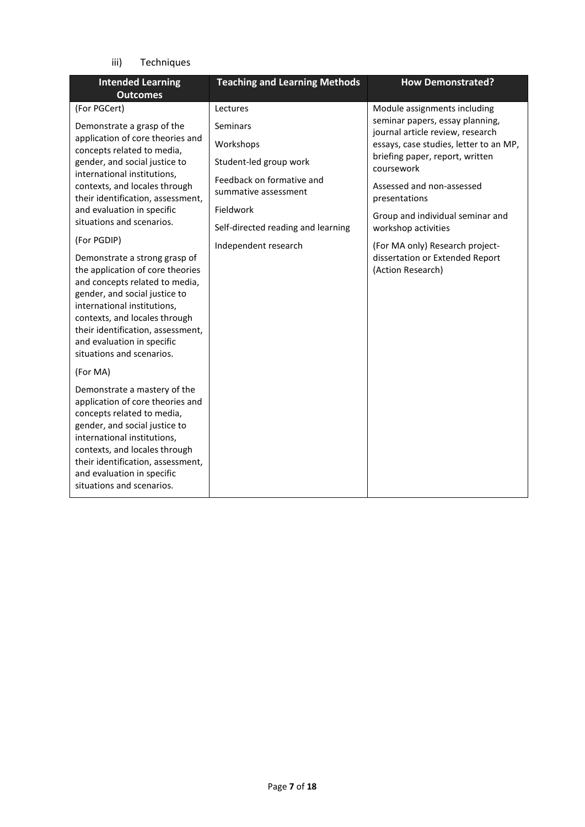iii) Techniques

| <b>Intended Learning</b><br><b>Outcomes</b>                                                                                                                                                                                                                                                          | <b>Teaching and Learning Methods</b>              | <b>How Demonstrated?</b>                                            |
|------------------------------------------------------------------------------------------------------------------------------------------------------------------------------------------------------------------------------------------------------------------------------------------------------|---------------------------------------------------|---------------------------------------------------------------------|
| (For PGCert)                                                                                                                                                                                                                                                                                         | Lectures                                          | Module assignments including                                        |
| Demonstrate a grasp of the                                                                                                                                                                                                                                                                           | Seminars                                          | seminar papers, essay planning,<br>journal article review, research |
| application of core theories and<br>concepts related to media,                                                                                                                                                                                                                                       | Workshops                                         | essays, case studies, letter to an MP,                              |
| gender, and social justice to                                                                                                                                                                                                                                                                        | Student-led group work                            | briefing paper, report, written<br>coursework                       |
| international institutions,<br>contexts, and locales through<br>their identification, assessment,                                                                                                                                                                                                    | Feedback on formative and<br>summative assessment | Assessed and non-assessed<br>presentations                          |
| and evaluation in specific                                                                                                                                                                                                                                                                           | Fieldwork                                         | Group and individual seminar and                                    |
| situations and scenarios.                                                                                                                                                                                                                                                                            | Self-directed reading and learning                | workshop activities                                                 |
| (For PGDIP)                                                                                                                                                                                                                                                                                          | Independent research                              | (For MA only) Research project-                                     |
| Demonstrate a strong grasp of<br>the application of core theories<br>and concepts related to media,<br>gender, and social justice to<br>international institutions,<br>contexts, and locales through<br>their identification, assessment,<br>and evaluation in specific<br>situations and scenarios. |                                                   | dissertation or Extended Report<br>(Action Research)                |
| (For MA)                                                                                                                                                                                                                                                                                             |                                                   |                                                                     |
| Demonstrate a mastery of the<br>application of core theories and<br>concepts related to media,<br>gender, and social justice to<br>international institutions,<br>contexts, and locales through<br>their identification, assessment,<br>and evaluation in specific<br>situations and scenarios.      |                                                   |                                                                     |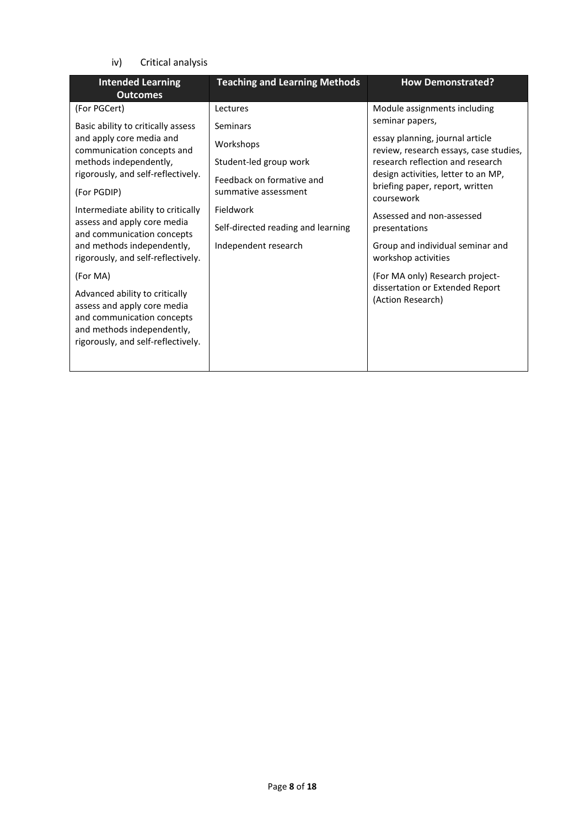iv) Critical analysis

| <b>Intended Learning</b><br><b>Outcomes</b>                                                                                                                                                                                                                                                                                                                                                                                                                                                                                                       | <b>Teaching and Learning Methods</b>                                                                                                                                                        | <b>How Demonstrated?</b>                                                                                                                                                                                                                                                                                                                                                                                                                                     |
|---------------------------------------------------------------------------------------------------------------------------------------------------------------------------------------------------------------------------------------------------------------------------------------------------------------------------------------------------------------------------------------------------------------------------------------------------------------------------------------------------------------------------------------------------|---------------------------------------------------------------------------------------------------------------------------------------------------------------------------------------------|--------------------------------------------------------------------------------------------------------------------------------------------------------------------------------------------------------------------------------------------------------------------------------------------------------------------------------------------------------------------------------------------------------------------------------------------------------------|
| (For PGCert)<br>Basic ability to critically assess<br>and apply core media and<br>communication concepts and<br>methods independently,<br>rigorously, and self-reflectively.<br>(For PGDIP)<br>Intermediate ability to critically<br>assess and apply core media<br>and communication concepts<br>and methods independently,<br>rigorously, and self-reflectively.<br>(For MA)<br>Advanced ability to critically<br>assess and apply core media<br>and communication concepts<br>and methods independently,<br>rigorously, and self-reflectively. | Lectures<br>Seminars<br>Workshops<br>Student-led group work<br>Feedback on formative and<br>summative assessment<br>Fieldwork<br>Self-directed reading and learning<br>Independent research | Module assignments including<br>seminar papers,<br>essay planning, journal article<br>review, research essays, case studies,<br>research reflection and research<br>design activities, letter to an MP,<br>briefing paper, report, written<br>coursework<br>Assessed and non-assessed<br>presentations<br>Group and individual seminar and<br>workshop activities<br>(For MA only) Research project-<br>dissertation or Extended Report<br>(Action Research) |
|                                                                                                                                                                                                                                                                                                                                                                                                                                                                                                                                                   |                                                                                                                                                                                             |                                                                                                                                                                                                                                                                                                                                                                                                                                                              |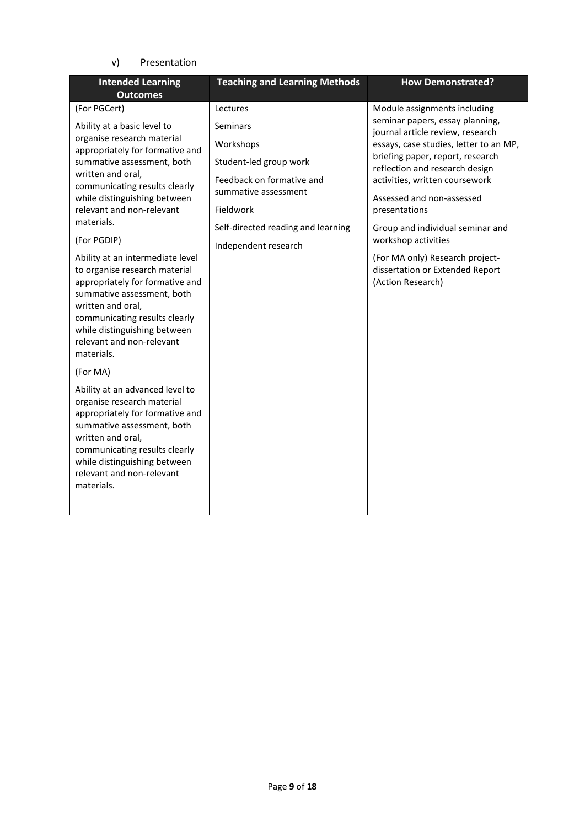v) Presentation

| <b>Intended Learning</b><br><b>Outcomes</b>                                                                                                                                                                                                                                 | <b>Teaching and Learning Methods</b>                                         | <b>How Demonstrated?</b>                                                                                                                                                           |
|-----------------------------------------------------------------------------------------------------------------------------------------------------------------------------------------------------------------------------------------------------------------------------|------------------------------------------------------------------------------|------------------------------------------------------------------------------------------------------------------------------------------------------------------------------------|
| (For PGCert)                                                                                                                                                                                                                                                                | Lectures                                                                     | Module assignments including<br>seminar papers, essay planning,                                                                                                                    |
| Ability at a basic level to<br>organise research material<br>appropriately for formative and<br>summative assessment, both<br>written and oral,                                                                                                                             | Seminars<br>Workshops<br>Student-led group work<br>Feedback on formative and | journal article review, research<br>essays, case studies, letter to an MP,<br>briefing paper, report, research<br>reflection and research design<br>activities, written coursework |
| communicating results clearly<br>while distinguishing between<br>relevant and non-relevant<br>materials.                                                                                                                                                                    | summative assessment<br>Fieldwork                                            | Assessed and non-assessed<br>presentations                                                                                                                                         |
| (For PGDIP)                                                                                                                                                                                                                                                                 | Self-directed reading and learning<br>Independent research                   | Group and individual seminar and<br>workshop activities                                                                                                                            |
| Ability at an intermediate level<br>to organise research material<br>appropriately for formative and<br>summative assessment, both<br>written and oral,<br>communicating results clearly<br>while distinguishing between<br>relevant and non-relevant<br>materials.         |                                                                              | (For MA only) Research project-<br>dissertation or Extended Report<br>(Action Research)                                                                                            |
| (For MA)<br>Ability at an advanced level to<br>organise research material<br>appropriately for formative and<br>summative assessment, both<br>written and oral,<br>communicating results clearly<br>while distinguishing between<br>relevant and non-relevant<br>materials. |                                                                              |                                                                                                                                                                                    |
|                                                                                                                                                                                                                                                                             |                                                                              |                                                                                                                                                                                    |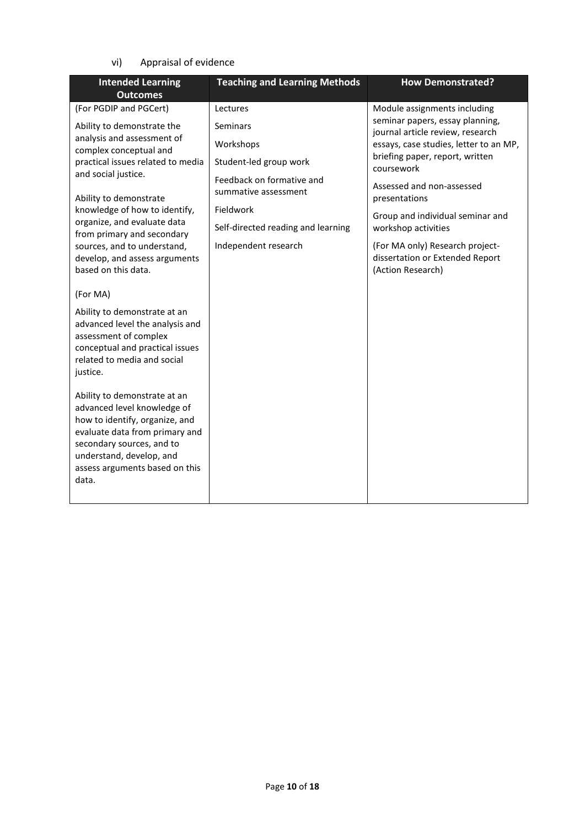## vi) Appraisal of evidence

| <b>Intended Learning</b><br><b>Outcomes</b>                                                                                                                            | <b>Teaching and Learning Methods</b> | <b>How Demonstrated?</b>                                                  |
|------------------------------------------------------------------------------------------------------------------------------------------------------------------------|--------------------------------------|---------------------------------------------------------------------------|
| (For PGDIP and PGCert)                                                                                                                                                 | Lectures                             | Module assignments including<br>seminar papers, essay planning,           |
| Ability to demonstrate the<br>analysis and assessment of                                                                                                               | Seminars                             | journal article review, research                                          |
| complex conceptual and<br>practical issues related to media                                                                                                            | Workshops<br>Student-led group work  | essays, case studies, letter to an MP,<br>briefing paper, report, written |
| and social justice.                                                                                                                                                    | Feedback on formative and            | coursework                                                                |
| Ability to demonstrate                                                                                                                                                 | summative assessment                 | Assessed and non-assessed<br>presentations                                |
| knowledge of how to identify,<br>organize, and evaluate data                                                                                                           | Fieldwork                            | Group and individual seminar and                                          |
| from primary and secondary                                                                                                                                             | Self-directed reading and learning   | workshop activities                                                       |
| sources, and to understand,<br>develop, and assess arguments                                                                                                           | Independent research                 | (For MA only) Research project-<br>dissertation or Extended Report        |
| based on this data.                                                                                                                                                    |                                      | (Action Research)                                                         |
| (For MA)                                                                                                                                                               |                                      |                                                                           |
| Ability to demonstrate at an<br>advanced level the analysis and<br>assessment of complex<br>conceptual and practical issues<br>related to media and social<br>justice. |                                      |                                                                           |
| Ability to demonstrate at an<br>advanced level knowledge of                                                                                                            |                                      |                                                                           |
| how to identify, organize, and<br>evaluate data from primary and                                                                                                       |                                      |                                                                           |
| secondary sources, and to<br>understand, develop, and                                                                                                                  |                                      |                                                                           |
| assess arguments based on this<br>data.                                                                                                                                |                                      |                                                                           |
|                                                                                                                                                                        |                                      |                                                                           |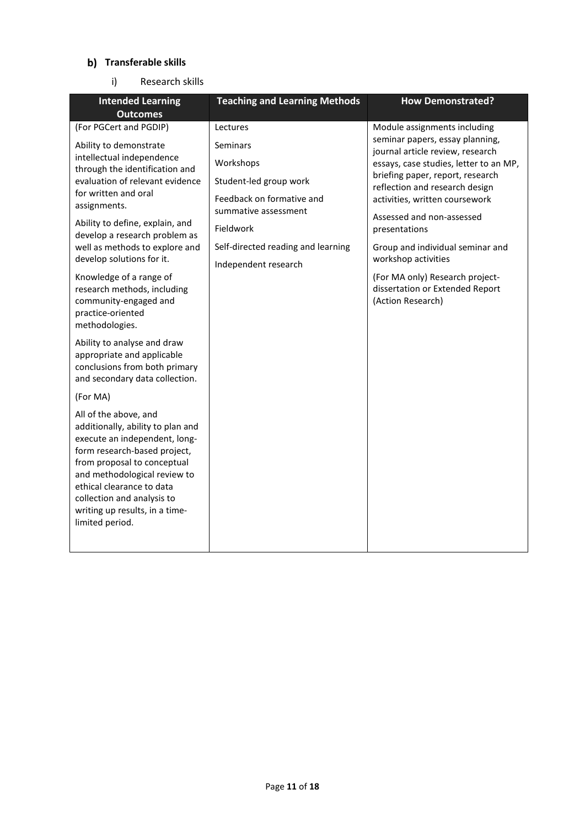# **Transferable skills**

i) Research skills

| <b>Intended Learning</b><br><b>Outcomes</b>                                                                                                                                                                                                                                                                                                                                                                                                                                                                                                                                                                                                                                                                                                                                                                                                                                                                       | <b>Teaching and Learning Methods</b>                                                                                                                                                        | <b>How Demonstrated?</b>                                                                                                                                                                                                                                                                                                                                                                                                                                  |
|-------------------------------------------------------------------------------------------------------------------------------------------------------------------------------------------------------------------------------------------------------------------------------------------------------------------------------------------------------------------------------------------------------------------------------------------------------------------------------------------------------------------------------------------------------------------------------------------------------------------------------------------------------------------------------------------------------------------------------------------------------------------------------------------------------------------------------------------------------------------------------------------------------------------|---------------------------------------------------------------------------------------------------------------------------------------------------------------------------------------------|-----------------------------------------------------------------------------------------------------------------------------------------------------------------------------------------------------------------------------------------------------------------------------------------------------------------------------------------------------------------------------------------------------------------------------------------------------------|
| (For PGCert and PGDIP)<br>Ability to demonstrate<br>intellectual independence<br>through the identification and<br>evaluation of relevant evidence<br>for written and oral<br>assignments.<br>Ability to define, explain, and<br>develop a research problem as<br>well as methods to explore and<br>develop solutions for it.<br>Knowledge of a range of<br>research methods, including<br>community-engaged and<br>practice-oriented<br>methodologies.<br>Ability to analyse and draw<br>appropriate and applicable<br>conclusions from both primary<br>and secondary data collection.<br>(For MA)<br>All of the above, and<br>additionally, ability to plan and<br>execute an independent, long-<br>form research-based project,<br>from proposal to conceptual<br>and methodological review to<br>ethical clearance to data<br>collection and analysis to<br>writing up results, in a time-<br>limited period. | Lectures<br>Seminars<br>Workshops<br>Student-led group work<br>Feedback on formative and<br>summative assessment<br>Fieldwork<br>Self-directed reading and learning<br>Independent research | Module assignments including<br>seminar papers, essay planning,<br>journal article review, research<br>essays, case studies, letter to an MP,<br>briefing paper, report, research<br>reflection and research design<br>activities, written coursework<br>Assessed and non-assessed<br>presentations<br>Group and individual seminar and<br>workshop activities<br>(For MA only) Research project-<br>dissertation or Extended Report<br>(Action Research) |
|                                                                                                                                                                                                                                                                                                                                                                                                                                                                                                                                                                                                                                                                                                                                                                                                                                                                                                                   |                                                                                                                                                                                             |                                                                                                                                                                                                                                                                                                                                                                                                                                                           |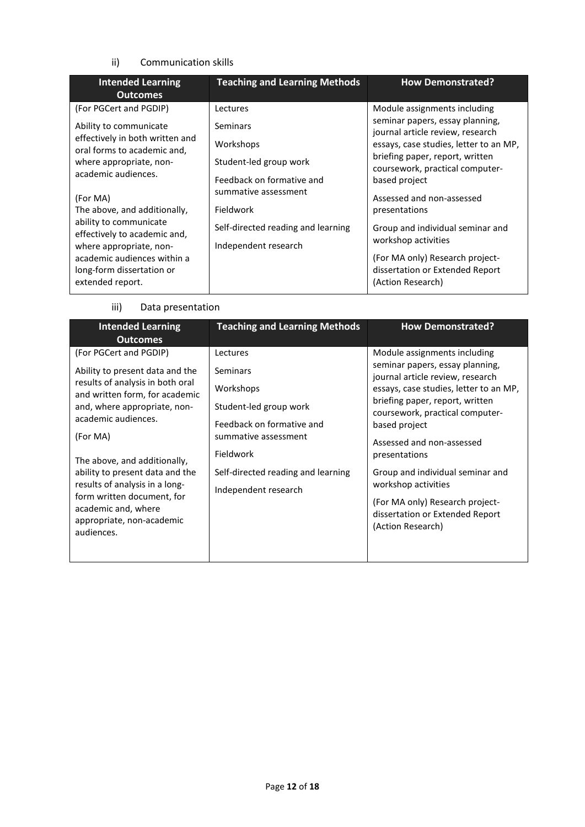## ii) Communication skills

| <b>Intended Learning</b><br><b>Outcomes</b>                                                                                                                                                                                                                                                                                                                                           | <b>Teaching and Learning Methods</b>                                                                                                                                                        | <b>How Demonstrated?</b>                                                                                                                                                                                                                                                                                                                                                                                                                 |
|---------------------------------------------------------------------------------------------------------------------------------------------------------------------------------------------------------------------------------------------------------------------------------------------------------------------------------------------------------------------------------------|---------------------------------------------------------------------------------------------------------------------------------------------------------------------------------------------|------------------------------------------------------------------------------------------------------------------------------------------------------------------------------------------------------------------------------------------------------------------------------------------------------------------------------------------------------------------------------------------------------------------------------------------|
| (For PGCert and PGDIP)<br>Ability to communicate<br>effectively in both written and<br>oral forms to academic and,<br>where appropriate, non-<br>academic audiences.<br>(For MA)<br>The above, and additionally,<br>ability to communicate<br>effectively to academic and,<br>where appropriate, non-<br>academic audiences within a<br>long-form dissertation or<br>extended report. | Lectures<br>Seminars<br>Workshops<br>Student-led group work<br>Feedback on formative and<br>summative assessment<br>Fieldwork<br>Self-directed reading and learning<br>Independent research | Module assignments including<br>seminar papers, essay planning,<br>journal article review, research<br>essays, case studies, letter to an MP,<br>briefing paper, report, written<br>coursework, practical computer-<br>based project<br>Assessed and non-assessed<br>presentations<br>Group and individual seminar and<br>workshop activities<br>(For MA only) Research project-<br>dissertation or Extended Report<br>(Action Research) |

iii) Data presentation

| <b>Intended Learning</b><br><b>Outcomes</b>                                                                                                                                                                                                                                                                                                                                                             | <b>Teaching and Learning Methods</b>                                                                                                                                                        | <b>How Demonstrated?</b>                                                                                                                                                                                                                                                                                                                                                                                                                 |
|---------------------------------------------------------------------------------------------------------------------------------------------------------------------------------------------------------------------------------------------------------------------------------------------------------------------------------------------------------------------------------------------------------|---------------------------------------------------------------------------------------------------------------------------------------------------------------------------------------------|------------------------------------------------------------------------------------------------------------------------------------------------------------------------------------------------------------------------------------------------------------------------------------------------------------------------------------------------------------------------------------------------------------------------------------------|
| (For PGCert and PGDIP)<br>Ability to present data and the<br>results of analysis in both oral<br>and written form, for academic<br>and, where appropriate, non-<br>academic audiences.<br>(For MA)<br>The above, and additionally,<br>ability to present data and the<br>results of analysis in a long-<br>form written document, for<br>academic and, where<br>appropriate, non-academic<br>audiences. | Lectures<br>Seminars<br>Workshops<br>Student-led group work<br>Feedback on formative and<br>summative assessment<br>Fieldwork<br>Self-directed reading and learning<br>Independent research | Module assignments including<br>seminar papers, essay planning,<br>journal article review, research<br>essays, case studies, letter to an MP,<br>briefing paper, report, written<br>coursework, practical computer-<br>based project<br>Assessed and non-assessed<br>presentations<br>Group and individual seminar and<br>workshop activities<br>(For MA only) Research project-<br>dissertation or Extended Report<br>(Action Research) |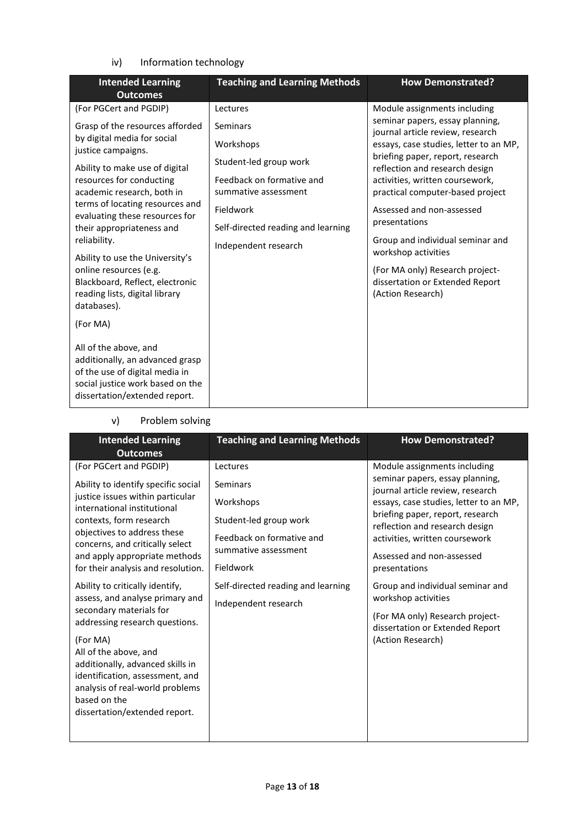iv) Information technology

| <b>Intended Learning</b><br><b>Outcomes</b>                                                                                                                     | <b>Teaching and Learning Methods</b>                                        | <b>How Demonstrated?</b>                                                                                                                           |
|-----------------------------------------------------------------------------------------------------------------------------------------------------------------|-----------------------------------------------------------------------------|----------------------------------------------------------------------------------------------------------------------------------------------------|
| (For PGCert and PGDIP)                                                                                                                                          | Lectures                                                                    | Module assignments including                                                                                                                       |
| Grasp of the resources afforded<br>by digital media for social<br>justice campaigns.                                                                            | Seminars<br>Workshops                                                       | seminar papers, essay planning,<br>journal article review, research<br>essays, case studies, letter to an MP,<br>briefing paper, report, research  |
| Ability to make use of digital<br>resources for conducting<br>academic research, both in                                                                        | Student-led group work<br>Feedback on formative and<br>summative assessment | reflection and research design<br>activities, written coursework,<br>practical computer-based project                                              |
| terms of locating resources and<br>evaluating these resources for<br>their appropriateness and                                                                  | Fieldwork<br>Self-directed reading and learning                             | Assessed and non-assessed<br>presentations                                                                                                         |
| reliability.<br>Ability to use the University's<br>online resources (e.g.<br>Blackboard, Reflect, electronic<br>reading lists, digital library<br>databases).   | Independent research                                                        | Group and individual seminar and<br>workshop activities<br>(For MA only) Research project-<br>dissertation or Extended Report<br>(Action Research) |
| (For MA)                                                                                                                                                        |                                                                             |                                                                                                                                                    |
| All of the above, and<br>additionally, an advanced grasp<br>of the use of digital media in<br>social justice work based on the<br>dissertation/extended report. |                                                                             |                                                                                                                                                    |

# v) Problem solving

| <b>Intended Learning</b><br><b>Outcomes</b>                                                                                                                                                                                                                                                                                     | <b>Teaching and Learning Methods</b> | <b>How Demonstrated?</b>                                            |
|---------------------------------------------------------------------------------------------------------------------------------------------------------------------------------------------------------------------------------------------------------------------------------------------------------------------------------|--------------------------------------|---------------------------------------------------------------------|
| (For PGCert and PGDIP)                                                                                                                                                                                                                                                                                                          | Lectures                             | Module assignments including                                        |
| Ability to identify specific social                                                                                                                                                                                                                                                                                             | Seminars                             | seminar papers, essay planning,<br>journal article review, research |
| justice issues within particular<br>international institutional                                                                                                                                                                                                                                                                 | Workshops                            | essays, case studies, letter to an MP,                              |
| contexts, form research                                                                                                                                                                                                                                                                                                         | Student-led group work               | briefing paper, report, research<br>reflection and research design  |
| objectives to address these<br>concerns, and critically select                                                                                                                                                                                                                                                                  | Feedback on formative and            | activities, written coursework                                      |
| and apply appropriate methods                                                                                                                                                                                                                                                                                                   | summative assessment                 | Assessed and non-assessed                                           |
| for their analysis and resolution.                                                                                                                                                                                                                                                                                              | Fieldwork                            | presentations                                                       |
| Ability to critically identify,<br>assess, and analyse primary and<br>secondary materials for<br>addressing research questions.<br>(For MA)<br>All of the above, and<br>additionally, advanced skills in<br>identification, assessment, and<br>analysis of real-world problems<br>based on the<br>dissertation/extended report. | Self-directed reading and learning   | Group and individual seminar and<br>workshop activities             |
|                                                                                                                                                                                                                                                                                                                                 | Independent research                 | (For MA only) Research project-<br>dissertation or Extended Report  |
|                                                                                                                                                                                                                                                                                                                                 |                                      | (Action Research)                                                   |
|                                                                                                                                                                                                                                                                                                                                 |                                      |                                                                     |
|                                                                                                                                                                                                                                                                                                                                 |                                      |                                                                     |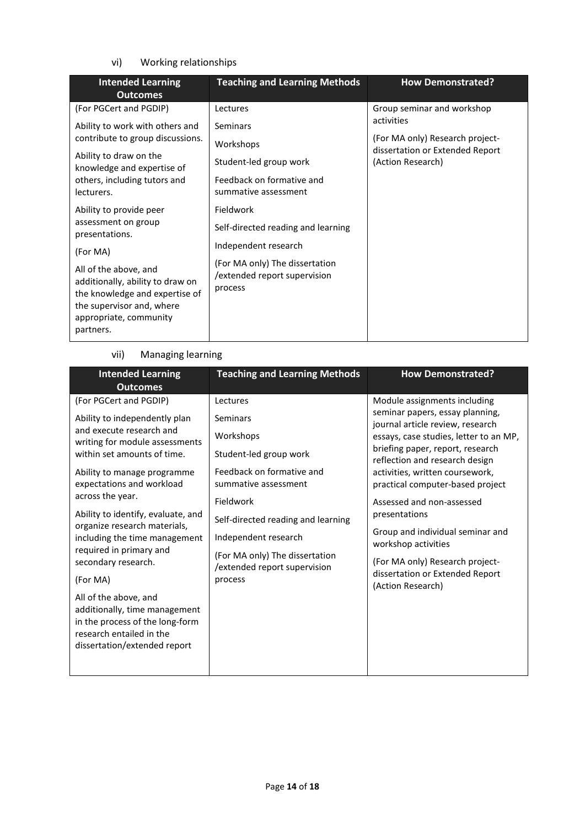# vi) Working relationships

| <b>Intended Learning</b><br><b>Outcomes</b>                                                                                                                     | <b>Teaching and Learning Methods</b>                                      | <b>How Demonstrated?</b>                                           |
|-----------------------------------------------------------------------------------------------------------------------------------------------------------------|---------------------------------------------------------------------------|--------------------------------------------------------------------|
| (For PGCert and PGDIP)                                                                                                                                          | Lectures                                                                  | Group seminar and workshop                                         |
| Ability to work with others and                                                                                                                                 | <b>Seminars</b>                                                           | activities                                                         |
| contribute to group discussions.                                                                                                                                | Workshops                                                                 | (For MA only) Research project-<br>dissertation or Extended Report |
| Ability to draw on the<br>knowledge and expertise of                                                                                                            | Student-led group work                                                    | (Action Research)                                                  |
| others, including tutors and<br>lecturers.                                                                                                                      | Feedback on formative and<br>summative assessment                         |                                                                    |
| Ability to provide peer                                                                                                                                         | Fieldwork                                                                 |                                                                    |
| assessment on group<br>presentations.                                                                                                                           | Self-directed reading and learning                                        |                                                                    |
| (For MA)                                                                                                                                                        | Independent research                                                      |                                                                    |
| All of the above, and<br>additionally, ability to draw on<br>the knowledge and expertise of<br>the supervisor and, where<br>appropriate, community<br>partners. | (For MA only) The dissertation<br>/extended report supervision<br>process |                                                                    |

## vii) Managing learning

| <b>Teaching and Learning Methods</b>                                                              | <b>How Demonstrated?</b>                                            |  |
|---------------------------------------------------------------------------------------------------|---------------------------------------------------------------------|--|
| Lectures                                                                                          | Module assignments including                                        |  |
| Seminars                                                                                          | seminar papers, essay planning,<br>journal article review, research |  |
| Workshops                                                                                         | essays, case studies, letter to an MP,                              |  |
| Student-led group work                                                                            | briefing paper, report, research<br>reflection and research design  |  |
| Feedback on formative and<br>summative assessment                                                 | activities, written coursework,<br>practical computer-based project |  |
| Fieldwork                                                                                         | Assessed and non-assessed                                           |  |
| Self-directed reading and learning                                                                | presentations                                                       |  |
| Independent research<br>(For MA only) The dissertation<br>/extended report supervision<br>process | Group and individual seminar and<br>workshop activities             |  |
|                                                                                                   | (For MA only) Research project-                                     |  |
|                                                                                                   | dissertation or Extended Report<br>(Action Research)                |  |
|                                                                                                   |                                                                     |  |
|                                                                                                   |                                                                     |  |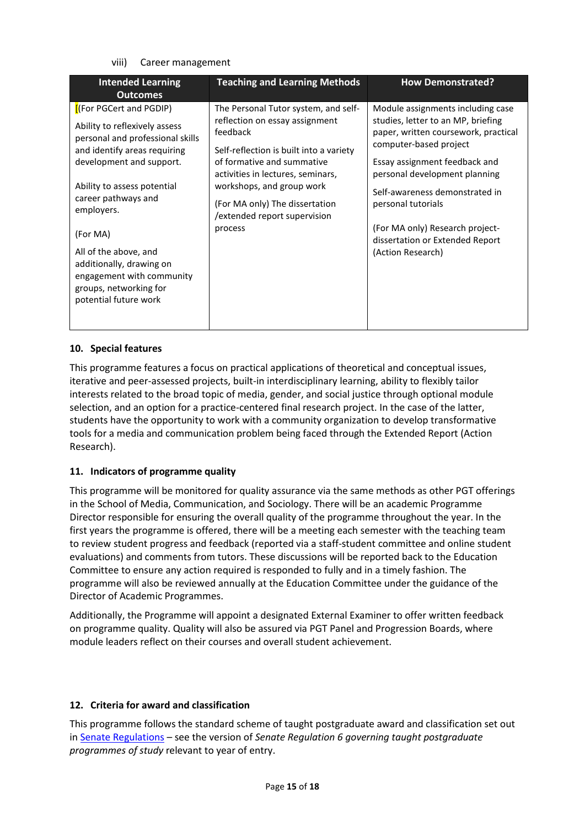#### viii) Career management

| <b>Outcomes</b>                                                                                                                                                                                                                                                                                                                                                                                                                                                                                                                                                                                                                                                                                                                                                  |                                                                                                                                                                                                                                                                                           |
|------------------------------------------------------------------------------------------------------------------------------------------------------------------------------------------------------------------------------------------------------------------------------------------------------------------------------------------------------------------------------------------------------------------------------------------------------------------------------------------------------------------------------------------------------------------------------------------------------------------------------------------------------------------------------------------------------------------------------------------------------------------|-------------------------------------------------------------------------------------------------------------------------------------------------------------------------------------------------------------------------------------------------------------------------------------------|
| [(For PGCert and PGDIP)<br>The Personal Tutor system, and self-<br>reflection on essay assignment<br>Ability to reflexively assess<br>feedback<br>personal and professional skills<br>computer-based project<br>and identify areas requiring<br>Self-reflection is built into a variety<br>of formative and summative<br>development and support.<br>activities in lectures, seminars,<br>workshops, and group work<br>Ability to assess potential<br>career pathways and<br>(For MA only) The dissertation<br>personal tutorials<br>employers.<br>/extended report supervision<br>process<br>(For MA)<br>All of the above, and<br>(Action Research)<br>additionally, drawing on<br>engagement with community<br>groups, networking for<br>potential future work | Module assignments including case<br>studies, letter to an MP, briefing<br>paper, written coursework, practical<br>Essay assignment feedback and<br>personal development planning<br>Self-awareness demonstrated in<br>(For MA only) Research project-<br>dissertation or Extended Report |

## **10. Special features**

This programme features a focus on practical applications of theoretical and conceptual issues, iterative and peer-assessed projects, built-in interdisciplinary learning, ability to flexibly tailor interests related to the broad topic of media, gender, and social justice through optional module selection, and an option for a practice-centered final research project. In the case of the latter, students have the opportunity to work with a community organization to develop transformative tools for a media and communication problem being faced through the Extended Report (Action Research).

## **11. Indicators of programme quality**

This programme will be monitored for quality assurance via the same methods as other PGT offerings in the School of Media, Communication, and Sociology. There will be an academic Programme Director responsible for ensuring the overall quality of the programme throughout the year. In the first years the programme is offered, there will be a meeting each semester with the teaching team to review student progress and feedback (reported via a staff-student committee and online student evaluations) and comments from tutors. These discussions will be reported back to the Education Committee to ensure any action required is responded to fully and in a timely fashion. The programme will also be reviewed annually at the Education Committee under the guidance of the Director of Academic Programmes.

Additionally, the Programme will appoint a designated External Examiner to offer written feedback on programme quality. Quality will also be assured via PGT Panel and Progression Boards, where module leaders reflect on their courses and overall student achievement.

## **12. Criteria for award and classification**

This programme follows the standard scheme of taught postgraduate award and classification set out i[n Senate Regulations](http://www.le.ac.uk/senate-regulations) – see the version of *Senate Regulation 6 governing taught postgraduate programmes of study* relevant to year of entry.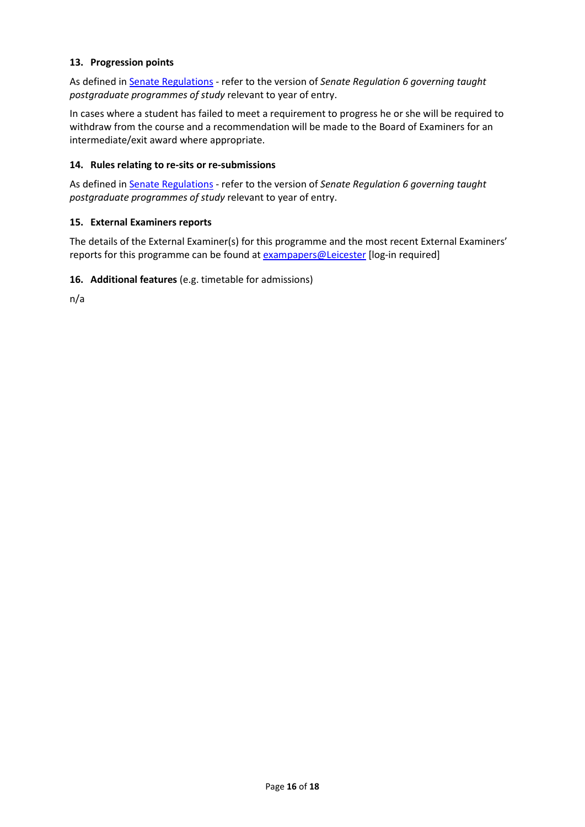## **13. Progression points**

As defined i[n Senate Regulations](http://www.le.ac.uk/senate-regulation6) - refer to the version of *Senate Regulation 6 governing taught postgraduate programmes of study* relevant to year of entry.

In cases where a student has failed to meet a requirement to progress he or she will be required to withdraw from the course and a recommendation will be made to the Board of Examiners for an intermediate/exit award where appropriate.

## **14. Rules relating to re-sits or re-submissions**

As defined i[n Senate Regulations](http://www.le.ac.uk/senate-regulation6) - refer to the version of *Senate Regulation 6 governing taught postgraduate programmes of study* relevant to year of entry.

## **15. External Examiners reports**

The details of the External Examiner(s) for this programme and the most recent External Examiners' reports for this programme can be found at [exampapers@Leicester](https://exampapers.le.ac.uk/) [log-in required]

## **16. Additional features** (e.g. timetable for admissions)

n/a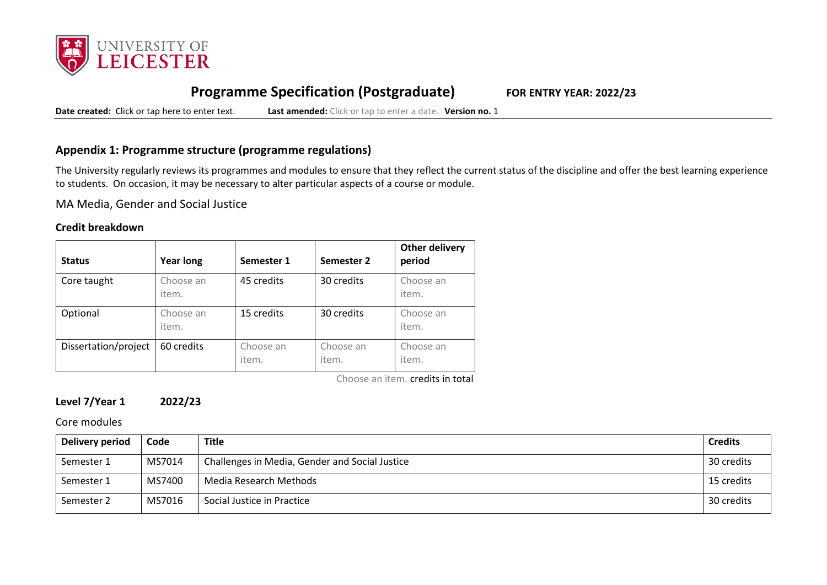

# **Programme Specification (Postgraduate) FOR ENTRY YEAR: 2022/23**

**Date created:** Click or tap here to enter text. **Last amended:** Click or tap to enter a date. **Version no.** 1

# **Appendix 1: Programme structure (programme regulations)**

The University regularly reviews its programmes and modules to ensure that they reflect the current status of the discipline and offer the best learning experience to students. On occasion, it may be necessary to alter particular aspects of a course or module.

MA Media, Gender and Social Justice

## **Credit breakdown**

| <b>Status</b>        | <b>Year long</b>   | Semester 1         | Semester 2         | <b>Other delivery</b><br>period |
|----------------------|--------------------|--------------------|--------------------|---------------------------------|
| Core taught          | Choose an<br>item. | 45 credits         | 30 credits         | Choose an<br>item.              |
| Optional             | Choose an<br>item. | 15 credits         | 30 credits         | Choose an<br>item.              |
| Dissertation/project | 60 credits         | Choose an<br>item. | Choose an<br>item. | Choose an<br>item.              |

Choose an item. credits in total

# **Level 7/Year 1 2022/23**

Core modules

| Delivery period | Code   | <b>Title</b>                                   | <b>Credits</b> |
|-----------------|--------|------------------------------------------------|----------------|
| Semester 1      | MS7014 | Challenges in Media, Gender and Social Justice | 30 credits     |
| Semester 1      | MS7400 | Media Research Methods                         | 15 credits     |
| Semester 2      | MS7016 | Social Justice in Practice                     | 30 credits     |